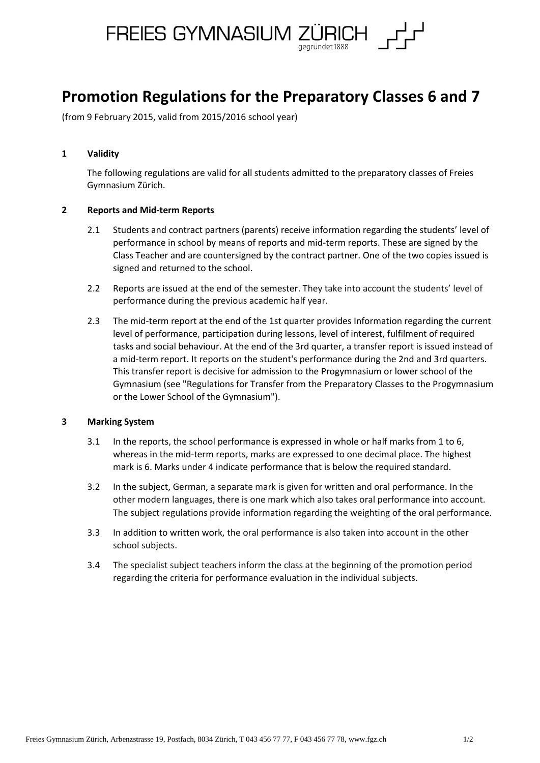

# **Promotion Regulations for the Preparatory Classes 6 and 7**

(from 9 February 2015, valid from 2015/2016 school year)

## **1 Validity**

The following regulations are valid for all students admitted to the preparatory classes of Freies Gymnasium Zürich.

# **2 Reports and Mid-term Reports**

- 2.1 Students and contract partners (parents) receive information regarding the students' level of performance in school by means of reports and mid-term reports. These are signed by the Class Teacher and are countersigned by the contract partner. One of the two copies issued is signed and returned to the school.
- 2.2 Reports are issued at the end of the semester. They take into account the students' level of performance during the previous academic half year.
- 2.3 The mid-term report at the end of the 1st quarter provides Information regarding the current level of performance, participation during lessons, level of interest, fulfilment of required tasks and social behaviour. At the end of the 3rd quarter, a transfer report is issued instead of a mid-term report. It reports on the student's performance during the 2nd and 3rd quarters. This transfer report is decisive for admission to the Progymnasium or lower school of the Gymnasium (see "Regulations for Transfer from the Preparatory Classes to the Progymnasium or the Lower School of the Gymnasium").

#### **3 Marking System**

- 3.1 In the reports, the school performance is expressed in whole or half marks from 1 to 6, whereas in the mid-term reports, marks are expressed to one decimal place. The highest mark is 6. Marks under 4 indicate performance that is below the required standard.
- 3.2 In the subject, German, a separate mark is given for written and oral performance. In the other modern languages, there is one mark which also takes oral performance into account. The subject regulations provide information regarding the weighting of the oral performance.
- 3.3 In addition to written work, the oral performance is also taken into account in the other school subjects.
- 3.4 The specialist subject teachers inform the class at the beginning of the promotion period regarding the criteria for performance evaluation in the individual subjects.